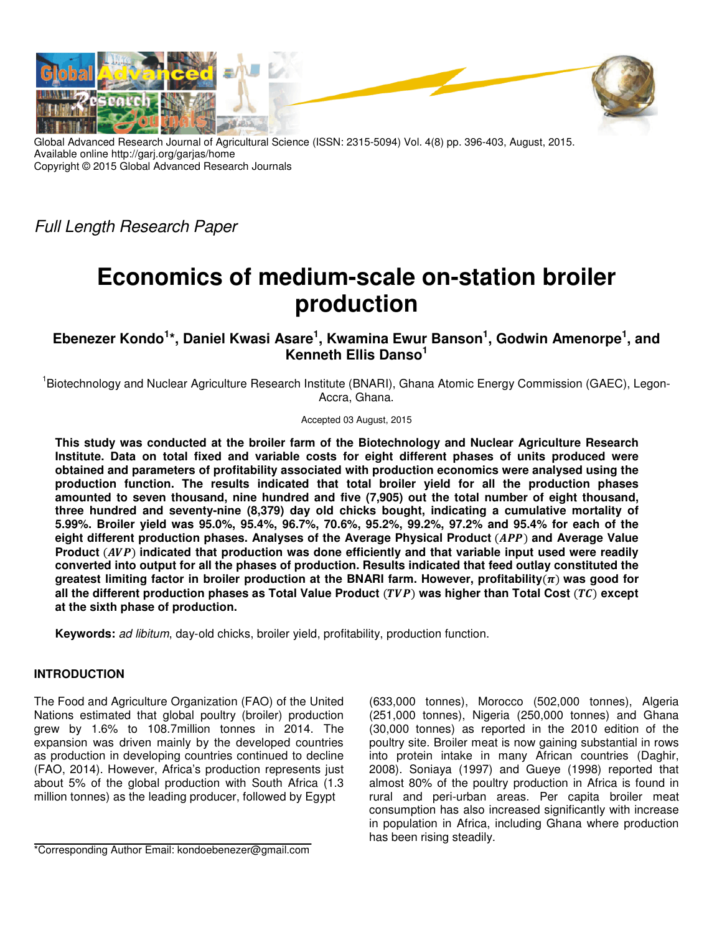

Global Advanced Research Journal of Agricultural Science (ISSN: 2315-5094) Vol. 4(8) pp. 396-403, August, 2015. Available online http://garj.org/garjas/home Copyright © 2015 Global Advanced Research Journals

Full Length Research Paper

# **Economics of medium-scale on-station broiler production**

# **Ebenezer Kondo<sup>1</sup> \*, Daniel Kwasi Asare<sup>1</sup> , Kwamina Ewur Banson<sup>1</sup> , Godwin Amenorpe<sup>1</sup> , and Kenneth Ellis Danso<sup>1</sup>**

<sup>1</sup>Biotechnology and Nuclear Agriculture Research Institute (BNARI), Ghana Atomic Energy Commission (GAEC), Legon-Accra, Ghana.

Accepted 03 August, 2015

**This study was conducted at the broiler farm of the Biotechnology and Nuclear Agriculture Research Institute. Data on total fixed and variable costs for eight different phases of units produced were obtained and parameters of profitability associated with production economics were analysed using the production function. The results indicated that total broiler yield for all the production phases amounted to seven thousand, nine hundred and five (7,905) out the total number of eight thousand, three hundred and seventy-nine (8,379) day old chicks bought, indicating a cumulative mortality of 5.99%. Broiler yield was 95.0%, 95.4%, 96.7%, 70.6%, 95.2%, 99.2%, 97.2% and 95.4% for each of the**  eight different production phases. Analyses of the Average Physical Product (APP) and Average Value Product (AVP) indicated that production was done efficiently and that variable input used were readily **converted into output for all the phases of production. Results indicated that feed outlay constituted the**  greatest limiting factor in broiler production at the BNARI farm. However, profitability $(n)$  was good for all the different production phases as Total Value Product (*TVP*) was higher than Total Cost (*TC*) except **at the sixth phase of production.** 

**Keywords:** ad libitum, day-old chicks, broiler yield, profitability, production function.

## **INTRODUCTION**

The Food and Agriculture Organization (FAO) of the United Nations estimated that global poultry (broiler) production grew by 1.6% to 108.7million tonnes in 2014. The expansion was driven mainly by the developed countries as production in developing countries continued to decline (FAO, 2014). However, Africa's production represents just about 5% of the global production with South Africa (1.3 million tonnes) as the leading producer, followed by Egypt

\*Corresponding Author Email: kondoebenezer@gmail.com

(633,000 tonnes), Morocco (502,000 tonnes), Algeria (251,000 tonnes), Nigeria (250,000 tonnes) and Ghana (30,000 tonnes) as reported in the 2010 edition of the poultry site. Broiler meat is now gaining substantial in rows into protein intake in many African countries (Daghir, 2008). Soniaya (1997) and Gueye (1998) reported that almost 80% of the poultry production in Africa is found in rural and peri-urban areas. Per capita broiler meat consumption has also increased significantly with increase in population in Africa, including Ghana where production has been rising steadily.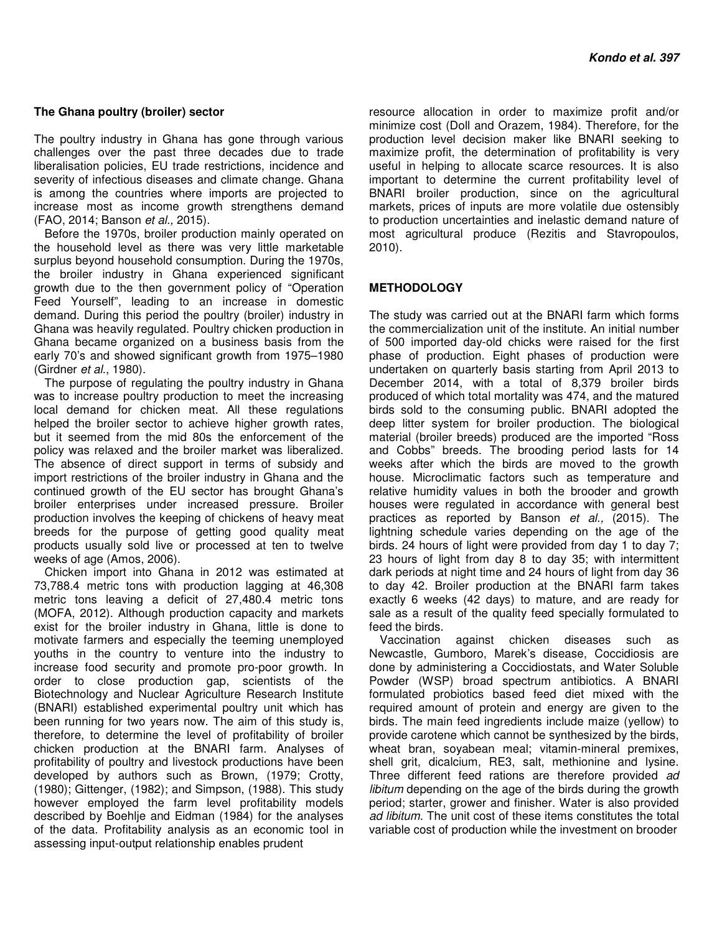### **The Ghana poultry (broiler) sector**

The poultry industry in Ghana has gone through various challenges over the past three decades due to trade liberalisation policies, EU trade restrictions, incidence and severity of infectious diseases and climate change. Ghana is among the countries where imports are projected to increase most as income growth strengthens demand (FAO, 2014; Banson et al., 2015).

Before the 1970s, broiler production mainly operated on the household level as there was very little marketable surplus beyond household consumption. During the 1970s, the broiler industry in Ghana experienced significant growth due to the then government policy of "Operation Feed Yourself", leading to an increase in domestic demand. During this period the poultry (broiler) industry in Ghana was heavily regulated. Poultry chicken production in Ghana became organized on a business basis from the early 70's and showed significant growth from 1975–1980 (Girdner et al., 1980).

The purpose of regulating the poultry industry in Ghana was to increase poultry production to meet the increasing local demand for chicken meat. All these regulations helped the broiler sector to achieve higher growth rates. but it seemed from the mid 80s the enforcement of the policy was relaxed and the broiler market was liberalized. The absence of direct support in terms of subsidy and import restrictions of the broiler industry in Ghana and the continued growth of the EU sector has brought Ghana's broiler enterprises under increased pressure. Broiler production involves the keeping of chickens of heavy meat breeds for the purpose of getting good quality meat products usually sold live or processed at ten to twelve weeks of age (Amos, 2006).

Chicken import into Ghana in 2012 was estimated at 73,788.4 metric tons with production lagging at 46,308 metric tons leaving a deficit of 27,480.4 metric tons (MOFA, 2012). Although production capacity and markets exist for the broiler industry in Ghana, little is done to motivate farmers and especially the teeming unemployed youths in the country to venture into the industry to increase food security and promote pro-poor growth. In order to close production gap, scientists of the Biotechnology and Nuclear Agriculture Research Institute (BNARI) established experimental poultry unit which has been running for two years now. The aim of this study is, therefore, to determine the level of profitability of broiler chicken production at the BNARI farm. Analyses of profitability of poultry and livestock productions have been developed by authors such as Brown, (1979; Crotty, (1980); Gittenger, (1982); and Simpson, (1988). This study however employed the farm level profitability models described by Boehlje and Eidman (1984) for the analyses of the data. Profitability analysis as an economic tool in assessing input-output relationship enables prudent

resource allocation in order to maximize profit and/or minimize cost (Doll and Orazem, 1984). Therefore, for the production level decision maker like BNARI seeking to maximize profit, the determination of profitability is very useful in helping to allocate scarce resources. It is also important to determine the current profitability level of BNARI broiler production, since on the agricultural markets, prices of inputs are more volatile due ostensibly to production uncertainties and inelastic demand nature of most agricultural produce (Rezitis and Stavropoulos, 2010).

## **METHODOLOGY**

The study was carried out at the BNARI farm which forms the commercialization unit of the institute. An initial number of 500 imported day-old chicks were raised for the first phase of production. Eight phases of production were undertaken on quarterly basis starting from April 2013 to December 2014, with a total of 8,379 broiler birds produced of which total mortality was 474, and the matured birds sold to the consuming public. BNARI adopted the deep litter system for broiler production. The biological material (broiler breeds) produced are the imported "Ross and Cobbs" breeds. The brooding period lasts for 14 weeks after which the birds are moved to the growth house. Microclimatic factors such as temperature and relative humidity values in both the brooder and growth houses were regulated in accordance with general best practices as reported by Banson et al., (2015). The lightning schedule varies depending on the age of the birds. 24 hours of light were provided from day 1 to day 7; 23 hours of light from day 8 to day 35; with intermittent dark periods at night time and 24 hours of light from day 36 to day 42. Broiler production at the BNARI farm takes exactly 6 weeks (42 days) to mature, and are ready for sale as a result of the quality feed specially formulated to feed the birds.

Vaccination against chicken diseases such as Newcastle, Gumboro, Marek's disease, Coccidiosis are done by administering a Coccidiostats, and Water Soluble Powder (WSP) broad spectrum antibiotics. A BNARI formulated probiotics based feed diet mixed with the required amount of protein and energy are given to the birds. The main feed ingredients include maize (yellow) to provide carotene which cannot be synthesized by the birds, wheat bran, soyabean meal; vitamin-mineral premixes, shell grit, dicalcium, RE3, salt, methionine and lysine. Three different feed rations are therefore provided ad libitum depending on the age of the birds during the growth period; starter, grower and finisher. Water is also provided ad libitum. The unit cost of these items constitutes the total variable cost of production while the investment on brooder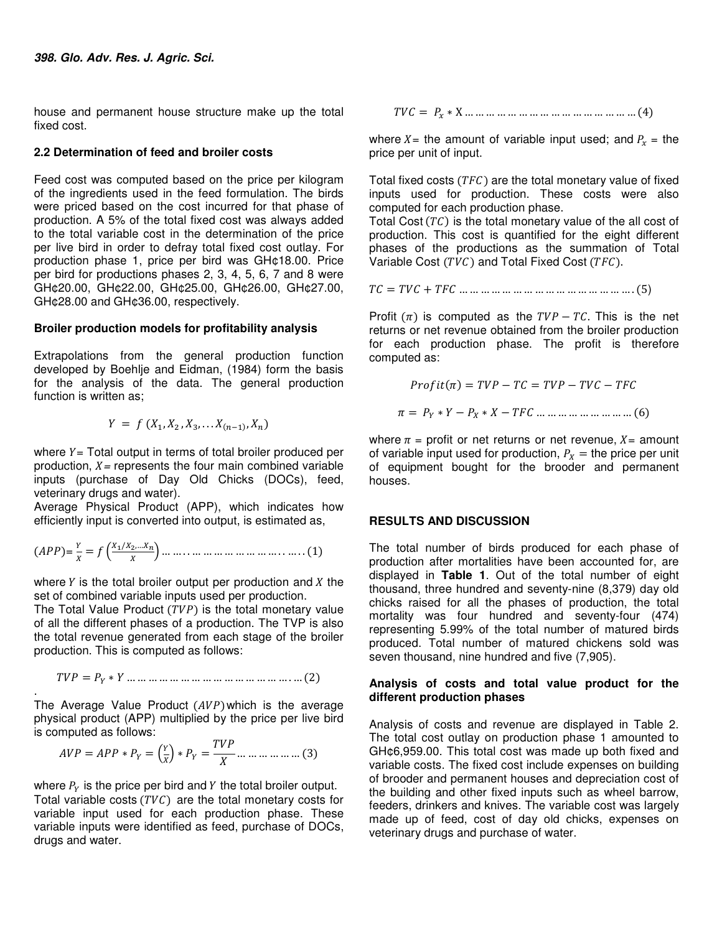house and permanent house structure make up the total fixed cost.

#### **2.2 Determination of feed and broiler costs**

Feed cost was computed based on the price per kilogram of the ingredients used in the feed formulation. The birds were priced based on the cost incurred for that phase of production. A 5% of the total fixed cost was always added to the total variable cost in the determination of the price per live bird in order to defray total fixed cost outlay. For production phase 1, price per bird was GH¢18.00. Price per bird for productions phases 2, 3, 4, 5, 6, 7 and 8 were GH¢20.00, GH¢22.00, GH¢25.00, GH¢26.00, GH¢27.00, GH¢28.00 and GH¢36.00, respectively.

### **Broiler production models for profitability analysis**

Extrapolations from the general production function developed by Boehlje and Eidman, (1984) form the basis for the analysis of the data. The general production function is written as:

$$
Y = f(X_1, X_2, X_3, \ldots X_{(n-1)}, X_n)
$$

where  $Y = \text{Total output in terms of total broiler produced per}$ production,  $X =$  represents the four main combined variable inputs (purchase of Day Old Chicks (DOCs), feed, veterinary drugs and water).

Average Physical Product (APP), which indicates how efficiently input is converted into output, is estimated as,

$$
(APP) = \frac{Y}{X} = f\left(\frac{X_1/X_2,...X_n}{X}\right)...\dots...\dots...\dots...\dots...\dots... (1)
$$

where  $Y$  is the total broiler output per production and  $X$  the set of combined variable inputs used per production.

The Total Value Product  $(TVP)$  is the total monetary value of all the different phases of a production. The TVP is also the total revenue generated from each stage of the broiler production. This is computed as follows:

$$
TVP = P_Y * Y \dots \dots \dots \dots \dots \dots \dots \dots \dots \dots \dots \dots \dots \dots \dots (2)
$$

. The Average Value Product  $(AVP)$  which is the average physical product (APP) multiplied by the price per live bird is computed as follows:

$$
AVP = APP * P_Y = \left(\frac{Y}{X}\right) * P_Y = \frac{TVP}{X} \dots \dots \dots \dots \dots \dots \dots \dots \tag{3}
$$

where  $P_Y$  is the price per bird and Y the total broiler output. Total variable costs  $(TVC)$  are the total monetary costs for variable input used for each production phase. These variable inputs were identified as feed, purchase of DOCs, drugs and water.

$$
TVC = P_x * X \dots \dots \dots \dots \dots \dots \dots \dots \dots \dots \dots \dots \dots \dots (4)
$$

where  $X =$  the amount of variable input used; and  $P_x =$  the price per unit of input.

Total fixed costs ( $TFC$ ) are the total monetary value of fixed inputs used for production. These costs were also computed for each production phase.

Total Cost  $(TC)$  is the total monetary value of the all cost of production. This cost is quantified for the eight different phases of the productions as the summation of Total Variable Cost  $(TVC)$  and Total Fixed Cost  $(TFC)$ .

 $TC = TVC + TFC$  … … … … … … … … … … … … … … … … . (5)

Profit  $(\pi)$  is computed as the  $TVP - TC$ . This is the net returns or net revenue obtained from the broiler production for each production phase. The profit is therefore computed as:

$$
Profit(\pi) = TVP - TC = TVP - TVC - TFC
$$

$$
\pi = P_Y * Y - P_X * X - TFC \dots \dots \dots \dots \dots \dots \dots \dots (6)
$$

where  $\pi$  = profit or net returns or net revenue,  $X$  = amount of variable input used for production,  $P_X =$  the price per unit of equipment bought for the brooder and permanent houses.

### **RESULTS AND DISCUSSION**

The total number of birds produced for each phase of production after mortalities have been accounted for, are displayed in **Table 1**. Out of the total number of eight thousand, three hundred and seventy-nine (8,379) day old chicks raised for all the phases of production, the total mortality was four hundred and seventy-four (474) representing 5.99% of the total number of matured birds produced. Total number of matured chickens sold was seven thousand, nine hundred and five (7,905).

### **Analysis of costs and total value product for the different production phases**

Analysis of costs and revenue are displayed in Table 2. The total cost outlay on production phase 1 amounted to GH¢6,959.00. This total cost was made up both fixed and variable costs. The fixed cost include expenses on building of brooder and permanent houses and depreciation cost of the building and other fixed inputs such as wheel barrow, feeders, drinkers and knives. The variable cost was largely made up of feed, cost of day old chicks, expenses on veterinary drugs and purchase of water.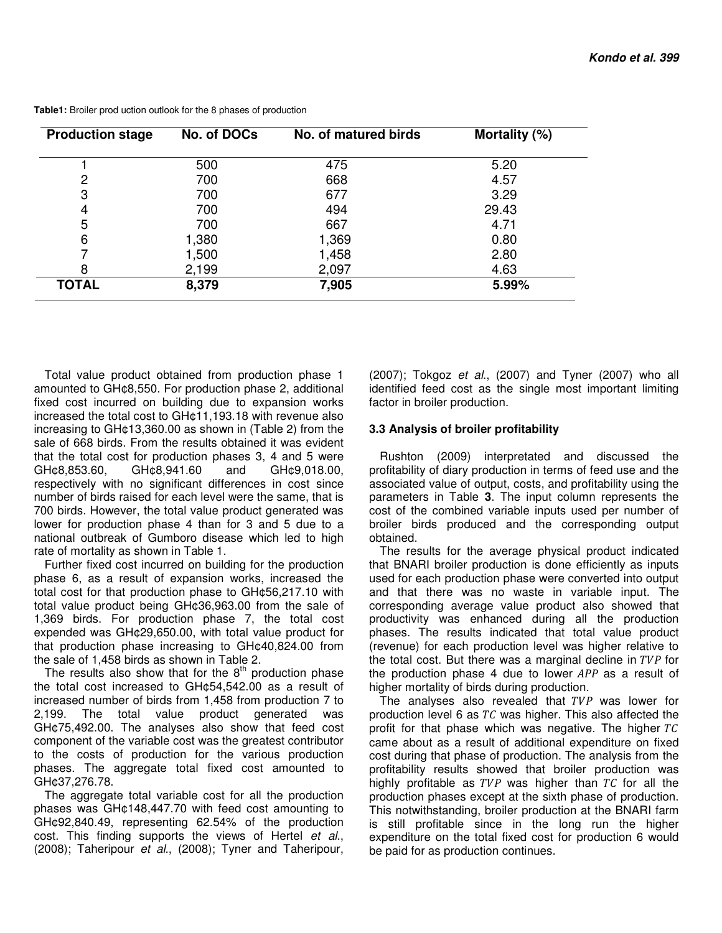| <b>Production stage</b> | No. of DOCs | No. of matured birds | Mortality (%) |  |
|-------------------------|-------------|----------------------|---------------|--|
|                         | 500         | 475                  | 5.20          |  |
| 2                       | 700         | 668                  | 4.57          |  |
| 3                       | 700         | 677                  | 3.29          |  |
| 4                       | 700         | 494                  | 29.43         |  |
| 5                       | 700         | 667                  | 4.71          |  |
| 6                       | 1,380       | 1,369                | 0.80          |  |
| ⇁                       | 1,500       | 1,458                | 2.80          |  |
| 8                       | 2,199       | 2,097                | 4.63          |  |
| <b>TOTAL</b>            | 8,379       | 7,905                | 5.99%         |  |

**Table1:** Broiler prod uction outlook for the 8 phases of production

Total value product obtained from production phase 1 amounted to GH¢8,550. For production phase 2, additional fixed cost incurred on building due to expansion works increased the total cost to GH¢11,193.18 with revenue also increasing to GH¢13,360.00 as shown in (Table 2) from the sale of 668 birds. From the results obtained it was evident that the total cost for production phases 3, 4 and 5 were GH¢8,853.60, GH¢8,941.60 and GH¢9,018.00, respectively with no significant differences in cost since number of birds raised for each level were the same, that is 700 birds. However, the total value product generated was lower for production phase 4 than for 3 and 5 due to a national outbreak of Gumboro disease which led to high rate of mortality as shown in Table 1.

Further fixed cost incurred on building for the production phase 6, as a result of expansion works, increased the total cost for that production phase to GH¢56,217.10 with total value product being GH¢36,963.00 from the sale of 1,369 birds. For production phase 7, the total cost expended was GH¢29,650.00, with total value product for that production phase increasing to GH¢40,824.00 from the sale of 1,458 birds as shown in Table 2.

The results also show that for the  $8<sup>th</sup>$  production phase the total cost increased to GH¢54,542.00 as a result of increased number of birds from 1,458 from production 7 to 2,199. The total value product generated was GH¢75,492.00. The analyses also show that feed cost component of the variable cost was the greatest contributor to the costs of production for the various production phases. The aggregate total fixed cost amounted to GH¢37,276.78.

The aggregate total variable cost for all the production phases was GH¢148,447.70 with feed cost amounting to GH¢92,840.49, representing 62.54% of the production cost. This finding supports the views of Hertel et al., (2008); Taheripour et al., (2008); Tyner and Taheripour, (2007); Tokgoz et al., (2007) and Tyner (2007) who all identified feed cost as the single most important limiting factor in broiler production.

### **3.3 Analysis of broiler profitability**

Rushton (2009) interpretated and discussed the profitability of diary production in terms of feed use and the associated value of output, costs, and profitability using the parameters in Table **3**. The input column represents the cost of the combined variable inputs used per number of broiler birds produced and the corresponding output obtained.

The results for the average physical product indicated that BNARI broiler production is done efficiently as inputs used for each production phase were converted into output and that there was no waste in variable input. The corresponding average value product also showed that productivity was enhanced during all the production phases. The results indicated that total value product (revenue) for each production level was higher relative to the total cost. But there was a marginal decline in  $TVP$  for the production phase 4 due to lower  $APP$  as a result of higher mortality of birds during production.

The analyses also revealed that  $TVP$  was lower for production level 6 as  $TC$  was higher. This also affected the profit for that phase which was negative. The higher  $TC$ came about as a result of additional expenditure on fixed cost during that phase of production. The analysis from the profitability results showed that broiler production was highly profitable as  $TVP$  was higher than  $TC$  for all the production phases except at the sixth phase of production. This notwithstanding, broiler production at the BNARI farm is still profitable since in the long run the higher expenditure on the total fixed cost for production 6 would be paid for as production continues.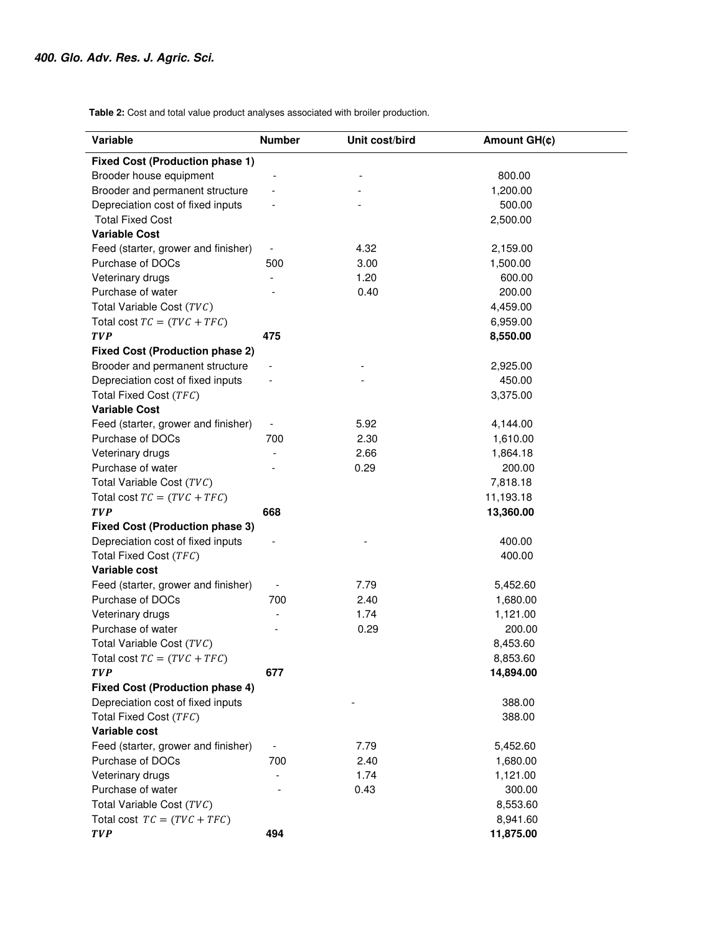**Table 2:** Cost and total value product analyses associated with broiler production.

| Variable                               | <b>Number</b>            | Unit cost/bird | Amount GH(¢) |  |
|----------------------------------------|--------------------------|----------------|--------------|--|
| <b>Fixed Cost (Production phase 1)</b> |                          |                |              |  |
| Brooder house equipment                |                          |                | 800.00       |  |
| Brooder and permanent structure        |                          |                | 1,200.00     |  |
| Depreciation cost of fixed inputs      |                          |                | 500.00       |  |
| <b>Total Fixed Cost</b>                |                          |                | 2,500.00     |  |
| <b>Variable Cost</b>                   |                          |                |              |  |
| Feed (starter, grower and finisher)    | $\overline{\phantom{a}}$ | 4.32           | 2,159.00     |  |
| Purchase of DOCs                       | 500                      | 3.00           | 1,500.00     |  |
| Veterinary drugs                       |                          | 1.20           | 600.00       |  |
| Purchase of water                      |                          | 0.40           | 200.00       |  |
| Total Variable Cost (TVC)              |                          |                | 4,459.00     |  |
| Total cost $TC = (TVC + TFC)$          |                          |                | 6,959.00     |  |
| <b>TVP</b>                             | 475                      |                | 8,550.00     |  |
| <b>Fixed Cost (Production phase 2)</b> |                          |                |              |  |
| Brooder and permanent structure        | $\overline{\phantom{a}}$ |                | 2,925.00     |  |
| Depreciation cost of fixed inputs      |                          |                | 450.00       |  |
| Total Fixed Cost (TFC)                 |                          |                | 3,375.00     |  |
| <b>Variable Cost</b>                   |                          |                |              |  |
| Feed (starter, grower and finisher)    | $\overline{\phantom{a}}$ | 5.92           | 4,144.00     |  |
| Purchase of DOCs                       | 700                      | 2.30           | 1,610.00     |  |
| Veterinary drugs                       |                          | 2.66           | 1,864.18     |  |
| Purchase of water                      |                          | 0.29           | 200.00       |  |
| Total Variable Cost (TVC)              |                          |                | 7,818.18     |  |
| Total cost $TC = (TVC + TFC)$          |                          |                | 11,193.18    |  |
| <b>TVP</b>                             | 668                      |                | 13,360.00    |  |
| <b>Fixed Cost (Production phase 3)</b> |                          |                |              |  |
| Depreciation cost of fixed inputs      |                          |                | 400.00       |  |
| Total Fixed Cost (TFC)                 |                          |                | 400.00       |  |
| Variable cost                          |                          |                |              |  |
| Feed (starter, grower and finisher)    |                          | 7.79           | 5,452.60     |  |
| Purchase of DOCs                       | 700                      | 2.40           | 1,680.00     |  |
| Veterinary drugs                       |                          | 1.74           | 1,121.00     |  |
| Purchase of water                      |                          | 0.29           | 200.00       |  |
| Total Variable Cost (TVC)              |                          |                | 8,453.60     |  |
| Total cost $TC = (TVC + TFC)$          |                          |                | 8,853.60     |  |
| <b>TVP</b>                             | 677                      |                | 14,894.00    |  |
| <b>Fixed Cost (Production phase 4)</b> |                          |                |              |  |
| Depreciation cost of fixed inputs      |                          |                | 388.00       |  |
| Total Fixed Cost (TFC)                 |                          |                | 388.00       |  |
| Variable cost                          |                          |                |              |  |
| Feed (starter, grower and finisher)    | $\overline{\phantom{a}}$ | 7.79           | 5,452.60     |  |
| Purchase of DOCs                       | 700                      | 2.40           | 1,680.00     |  |
| Veterinary drugs                       |                          | 1.74           | 1,121.00     |  |
| Purchase of water                      |                          | 0.43           | 300.00       |  |
| Total Variable Cost (TVC)              |                          |                | 8,553.60     |  |
| Total cost $TC = (TVC + TFC)$          |                          |                | 8,941.60     |  |
| <b>TVP</b>                             | 494                      |                | 11,875.00    |  |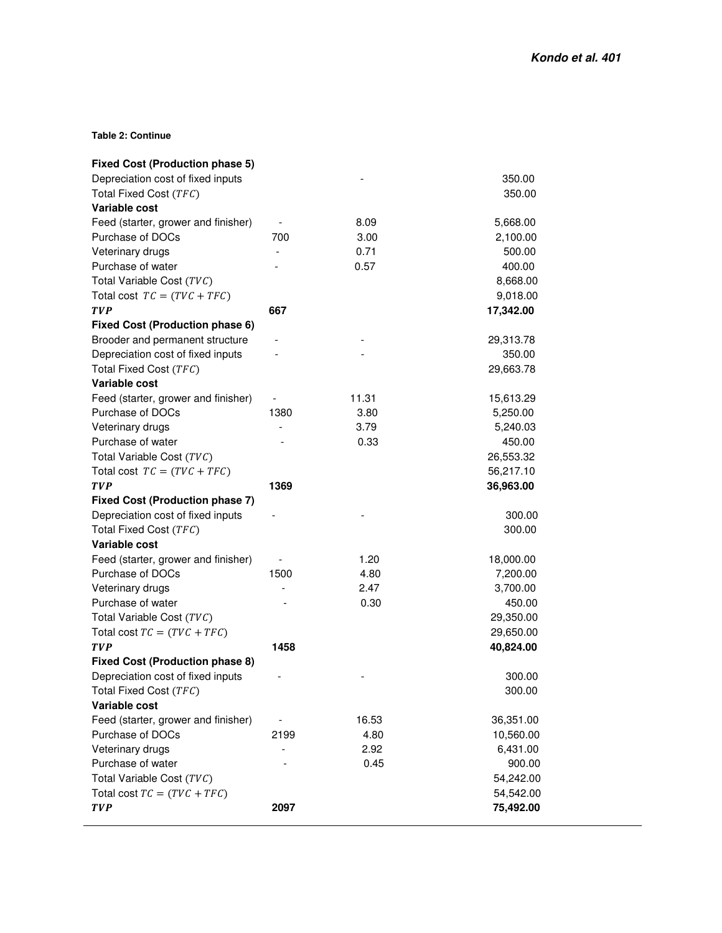**Table 2: Continue** 

| <b>Fixed Cost (Production phase 5)</b> |                          |       |           |
|----------------------------------------|--------------------------|-------|-----------|
| Depreciation cost of fixed inputs      |                          |       | 350.00    |
| Total Fixed Cost (TFC)                 |                          |       | 350.00    |
| Variable cost                          |                          |       |           |
| Feed (starter, grower and finisher)    |                          | 8.09  | 5,668.00  |
| Purchase of DOCs                       | 700                      | 3.00  | 2,100.00  |
| Veterinary drugs                       | $\overline{\phantom{a}}$ | 0.71  | 500.00    |
| Purchase of water                      |                          | 0.57  | 400.00    |
| Total Variable Cost (TVC)              |                          |       | 8,668.00  |
| Total cost $TC = (TVC + TFC)$          |                          |       | 9,018.00  |
| <b>TVP</b>                             | 667                      |       | 17,342.00 |
| Fixed Cost (Production phase 6)        |                          |       |           |
| Brooder and permanent structure        |                          |       | 29,313.78 |
| Depreciation cost of fixed inputs      |                          |       | 350.00    |
| Total Fixed Cost (TFC)                 |                          |       | 29,663.78 |
| Variable cost                          |                          |       |           |
| Feed (starter, grower and finisher)    |                          | 11.31 | 15,613.29 |
| Purchase of DOCs                       | 1380                     | 3.80  | 5,250.00  |
| Veterinary drugs                       |                          | 3.79  | 5,240.03  |
| Purchase of water                      |                          | 0.33  | 450.00    |
| Total Variable Cost (TVC)              |                          |       | 26,553.32 |
| Total cost $TC = (TVC + TFC)$          |                          |       | 56,217.10 |
| <b>TVP</b>                             | 1369                     |       | 36,963.00 |
| <b>Fixed Cost (Production phase 7)</b> |                          |       |           |
| Depreciation cost of fixed inputs      |                          |       | 300.00    |
| Total Fixed Cost (TFC)                 |                          |       | 300.00    |
| Variable cost                          |                          |       |           |
| Feed (starter, grower and finisher)    |                          | 1.20  | 18,000.00 |
| Purchase of DOCs                       | 1500                     | 4.80  | 7,200.00  |
| Veterinary drugs                       |                          | 2.47  | 3,700.00  |
| Purchase of water                      |                          | 0.30  | 450.00    |
| Total Variable Cost (TVC)              |                          |       | 29,350.00 |
| Total cost $TC = (TVC + TFC)$          |                          |       | 29,650.00 |
| <b>TVP</b>                             | 1458                     |       | 40,824.00 |
| <b>Fixed Cost (Production phase 8)</b> |                          |       |           |
| Depreciation cost of fixed inputs      |                          |       | 300.00    |
| Total Fixed Cost (TFC)                 |                          |       | 300.00    |
| Variable cost                          |                          |       |           |
| Feed (starter, grower and finisher)    | $\overline{\phantom{m}}$ | 16.53 | 36,351.00 |
| Purchase of DOCs                       | 2199                     | 4.80  | 10,560.00 |
| Veterinary drugs                       |                          | 2.92  | 6,431.00  |
| Purchase of water                      |                          | 0.45  | 900.00    |
| Total Variable Cost (TVC)              |                          |       | 54,242.00 |
| Total cost $TC = (TVC + TFC)$          |                          |       | 54,542.00 |
| <b>TVP</b>                             | 2097                     |       | 75,492.00 |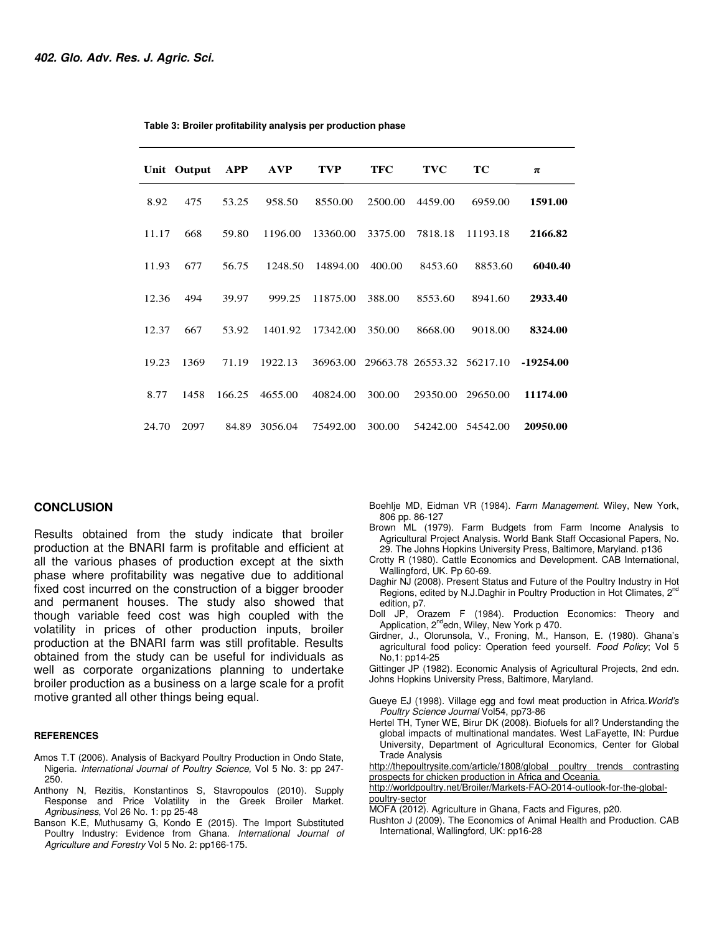|       | Unit Output | <b>APP</b> | <b>AVP</b> | <b>TVP</b> | <b>TFC</b> | <b>TVC</b>        | TC       | π           |
|-------|-------------|------------|------------|------------|------------|-------------------|----------|-------------|
| 8.92  | 475         | 53.25      | 958.50     | 8550.00    | 2500.00    | 4459.00           | 6959.00  | 1591.00     |
| 11.17 | 668         | 59.80      | 1196.00    | 13360.00   | 3375.00    | 7818.18           | 11193.18 | 2166.82     |
| 11.93 | 677         | 56.75      | 1248.50    | 14894.00   | 400.00     | 8453.60           | 8853.60  | 6040.40     |
| 12.36 | 494         | 39.97      | 999.25     | 11875.00   | 388.00     | 8553.60           | 8941.60  | 2933.40     |
| 12.37 | 667         | 53.92      | 1401.92    | 17342.00   | 350.00     | 8668.00           | 9018.00  | 8324.00     |
| 19.23 | 1369        | 71.19      | 1922.13    | 36963.00   |            | 29663.78 26553.32 | 56217.10 | $-19254.00$ |
| 8.77  | 1458        | 166.25     | 4655.00    | 40824.00   | 300.00     | 29350.00          | 29650.00 | 11174.00    |
| 24.70 | 2097        | 84.89      | 3056.04    | 75492.00   | 300.00     | 54242.00          | 54542.00 | 20950.00    |

 **Table 3: Broiler profitability analysis per production phase**

#### **CONCLUSION**

Results obtained from the study indicate that broiler production at the BNARI farm is profitable and efficient at all the various phases of production except at the sixth phase where profitability was negative due to additional fixed cost incurred on the construction of a bigger brooder and permanent houses. The study also showed that though variable feed cost was high coupled with the volatility in prices of other production inputs, broiler production at the BNARI farm was still profitable. Results obtained from the study can be useful for individuals as well as corporate organizations planning to undertake broiler production as a business on a large scale for a profit motive granted all other things being equal.

#### **REFERENCES**

- Amos T.T (2006). Analysis of Backyard Poultry Production in Ondo State, Nigeria. International Journal of Poultry Science, Vol 5 No. 3: pp 247- 250.
- Anthony N, Rezitis, Konstantinos S, Stavropoulos (2010). Supply Response and Price Volatility in the Greek Broiler Market. Agribusiness, Vol 26 No. 1: pp 25-48
- Banson K.E, Muthusamy G, Kondo E (2015). The Import Substituted Poultry Industry: Evidence from Ghana. International Journal of Agriculture and Forestry Vol 5 No. 2: pp166-175.
- Boehlje MD, Eidman VR (1984). Farm Management. Wiley, New York, 806 pp. 86-127
- Brown ML (1979). Farm Budgets from Farm Income Analysis to Agricultural Project Analysis. World Bank Staff Occasional Papers, No. 29. The Johns Hopkins University Press, Baltimore, Maryland. p136
- Crotty R (1980). Cattle Economics and Development. CAB International, Wallingford, UK. Pp 60-69.
- Daghir NJ (2008). Present Status and Future of the Poultry Industry in Hot Regions, edited by N.J.Daghir in Poultry Production in Hot Climates, 2<sup>nd</sup> edition, p7.
- Doll JP, Orazem F (1984). Production Economics: Theory and Application,  $2^{nd}$ edn, Wiley, New York p 470.
- Girdner, J., Olorunsola, V., Froning, M., Hanson, E. (1980). Ghana's agricultural food policy: Operation feed yourself. Food Policy; Vol 5 No,1: pp14-25

Gittinger JP (1982). Economic Analysis of Agricultural Projects, 2nd edn. Johns Hopkins University Press, Baltimore, Maryland.

- Gueye EJ (1998). Village egg and fowl meat production in Africa.World's Poultry Science Journal Vol54, pp73-86
- Hertel TH, Tyner WE, Birur DK (2008). Biofuels for all? Understanding the global impacts of multinational mandates. West LaFayette, IN: Purdue University, Department of Agricultural Economics, Center for Global Trade Analysis

http://thepoultrysite.com/article/1808/global poultry trends contrasting prospects for chicken production in Africa and Oceania.

http://worldpoultry.net/Broiler/Markets-FAO-2014-outlook-for-the-globalpoultry-sector

- MOFA (2012). Agriculture in Ghana, Facts and Figures, p20.
- Rushton J (2009). The Economics of Animal Health and Production. CAB International, Wallingford, UK: pp16-28